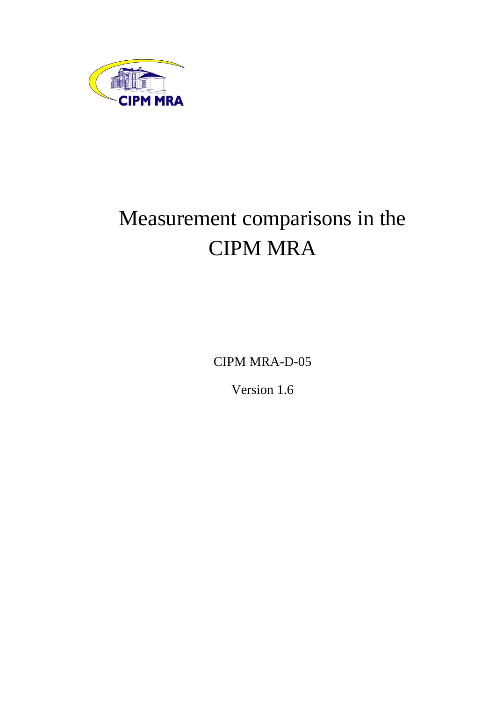

# Measurement comparisons in the CIPM MRA

CIPM MRA-D-05

Version 1.6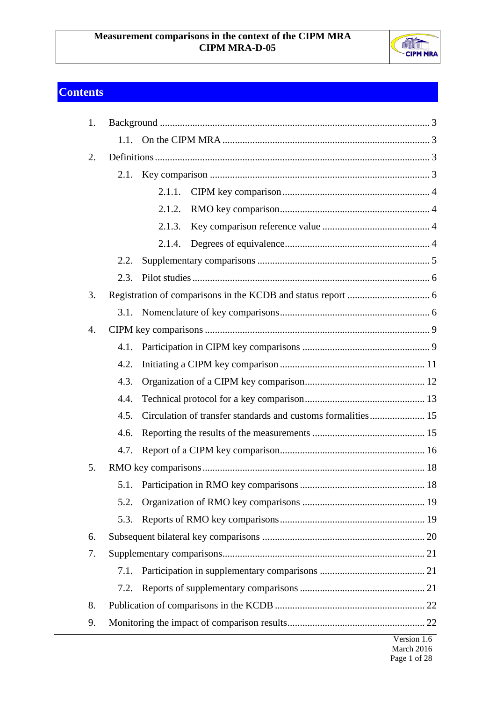

## <span id="page-1-0"></span>**Contents**

| 1. |      |        |                        |  |  |
|----|------|--------|------------------------|--|--|
|    | 1.1. |        |                        |  |  |
| 2. |      |        |                        |  |  |
|    |      |        |                        |  |  |
|    |      | 2.1.1. |                        |  |  |
|    |      | 2.1.2. |                        |  |  |
|    |      | 2.1.3. |                        |  |  |
|    |      | 2.1.4. |                        |  |  |
|    | 2.2. |        |                        |  |  |
|    | 2.3. |        |                        |  |  |
| 3. |      |        |                        |  |  |
|    |      |        |                        |  |  |
| 4. |      |        |                        |  |  |
|    | 4.1. |        |                        |  |  |
|    | 4.2. |        |                        |  |  |
|    | 4.3. |        |                        |  |  |
|    | 4.4. |        |                        |  |  |
|    | 4.5. |        |                        |  |  |
|    | 4.6. |        |                        |  |  |
|    | 4.7. |        |                        |  |  |
| 5. |      |        |                        |  |  |
|    | 5.1. |        |                        |  |  |
|    | 5.2. |        |                        |  |  |
|    | 5.3. |        |                        |  |  |
| 6. |      |        |                        |  |  |
| 7. |      |        |                        |  |  |
|    | 7.1. |        |                        |  |  |
|    | 7.2. |        |                        |  |  |
| 8. |      |        |                        |  |  |
| 9. |      |        |                        |  |  |
|    |      |        | V <sub>areion</sub> 16 |  |  |

Version 1.6 March 2016 Page 1 of 28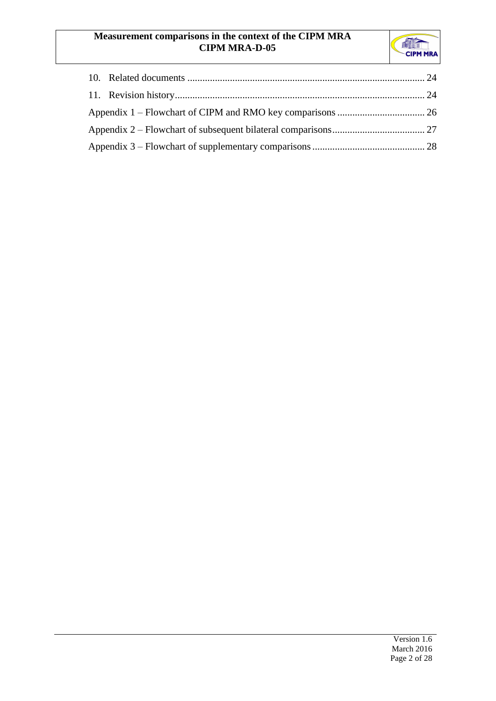## **Measurement comparisons in the context of the CIPM MRA CIPM MRA-D-05**

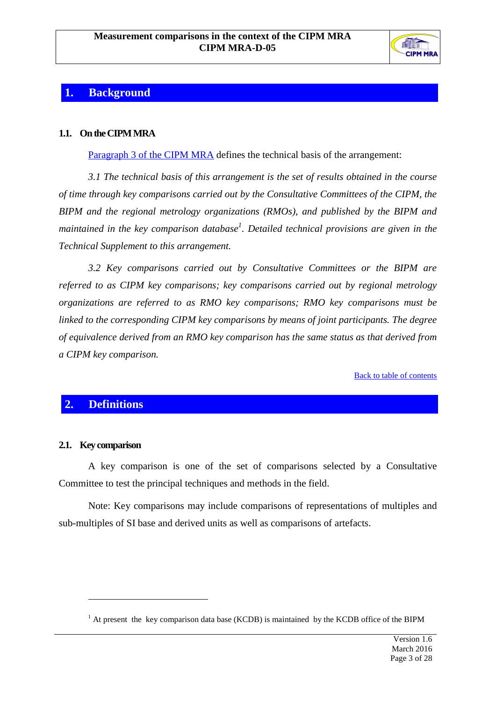

## <span id="page-3-0"></span>**1. Background**

## <span id="page-3-1"></span>**1.1. On the CIPM MRA**

Paragraph 3 [of the CIPM MRA](http://www.bipm.org/en/cipm-mra/mra_main_text.html#para3) defines the technical basis of the arrangement:

*3.1 The technical basis of this arrangement is the set of results obtained in the course of time through key comparisons carried out by the Consultative Committees of the CIPM, the BIPM and the regional metrology organizations (RMOs), and published by the BIPM and maintained in the key comparison database<sup>1</sup> . Detailed technical provisions are given in the Technical Supplement to this arrangement.*

*3.2 Key comparisons carried out by Consultative Committees or the BIPM are referred to as CIPM key comparisons; key comparisons carried out by regional metrology organizations are referred to as RMO key comparisons; RMO key comparisons must be linked to the corresponding CIPM key comparisons by means of joint participants. The degree of equivalence derived from an RMO key comparison has the same status as that derived from a CIPM key comparison.*

[Back to table of contents](#page-1-0)

## <span id="page-3-2"></span>**2. Definitions**

#### <span id="page-3-3"></span>**2.1. Key comparison**

 $\overline{a}$ 

A key comparison is one of the set of comparisons selected by a Consultative Committee to test the principal techniques and methods in the field.

Note: Key comparisons may include comparisons of representations of multiples and sub-multiples of SI base and derived units as well as comparisons of artefacts.

 $<sup>1</sup>$  At present the key comparison data base (KCDB) is maintained by the KCDB office of the BIPM</sup>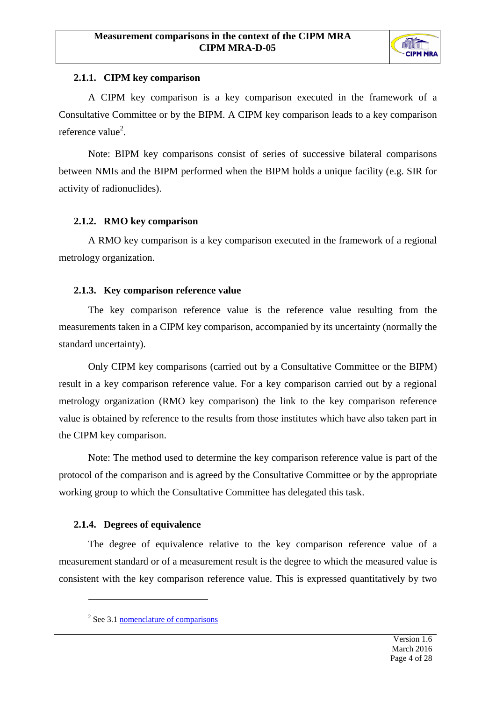

## <span id="page-4-0"></span>**2.1.1. CIPM key comparison**

A CIPM key comparison is a key comparison executed in the framework of a Consultative Committee or by the BIPM. A CIPM key comparison leads to a key comparison reference value<sup>2</sup>.

Note: BIPM key comparisons consist of series of successive bilateral comparisons between NMIs and the BIPM performed when the BIPM holds a unique facility (e.g. SIR for activity of radionuclides).

## <span id="page-4-1"></span>**2.1.2. RMO key comparison**

A RMO key comparison is a key comparison executed in the framework of a regional metrology organization.

## <span id="page-4-2"></span>**2.1.3. Key comparison reference value**

The key comparison reference value is the reference value resulting from the measurements taken in a CIPM key comparison, accompanied by its uncertainty (normally the standard uncertainty).

Only CIPM key comparisons (carried out by a Consultative Committee or the BIPM) result in a key comparison reference value. For a key comparison carried out by a regional metrology organization (RMO key comparison) the link to the key comparison reference value is obtained by reference to the results from those institutes which have also taken part in the CIPM key comparison.

Note: The method used to determine the key comparison reference value is part of the protocol of the comparison and is agreed by the Consultative Committee or by the appropriate working group to which the Consultative Committee has delegated this task.

## <span id="page-4-3"></span>**2.1.4. Degrees of equivalence**

 $\overline{a}$ 

The degree of equivalence relative to the key comparison reference value of a measurement standard or of a measurement result is the degree to which the measured value is consistent with the key comparison reference value. This is expressed quantitatively by two

<sup>&</sup>lt;sup>2</sup> Se[e 3.1](#page-6-2) <u>[nomenclature of comparisons](#page-6-2)</u>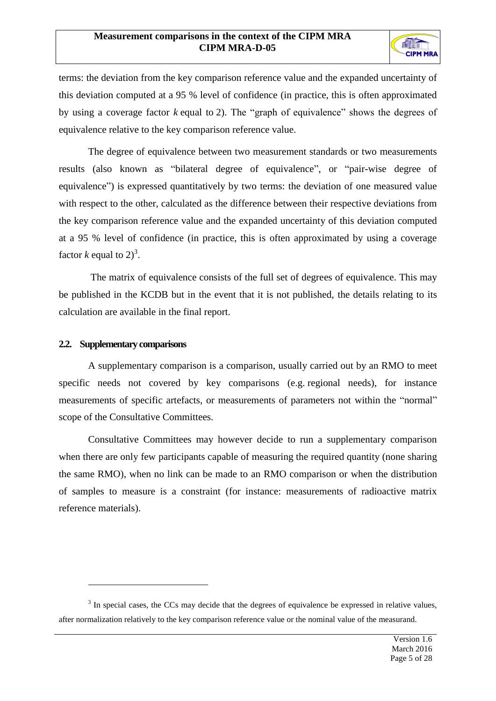

terms: the deviation from the key comparison reference value and the expanded uncertainty of this deviation computed at a 95 % level of confidence (in practice, this is often approximated by using a coverage factor *k* equal to 2). The "graph of equivalence" shows the degrees of equivalence relative to the key comparison reference value.

The degree of equivalence between two measurement standards or two measurements results (also known as "bilateral degree of equivalence", or "pair-wise degree of equivalence") is expressed quantitatively by two terms: the deviation of one measured value with respect to the other, calculated as the difference between their respective deviations from the key comparison reference value and the expanded uncertainty of this deviation computed at a 95 % level of confidence (in practice, this is often approximated by using a coverage factor *k* equal to  $2)^3$ .

The matrix of equivalence consists of the full set of degrees of equivalence. This may be published in the KCDB but in the event that it is not published, the details relating to its calculation are available in the final report.

#### <span id="page-5-0"></span>**2.2. Supplementary comparisons**

 $\overline{a}$ 

A supplementary comparison is a comparison, usually carried out by an RMO to meet specific needs not covered by key comparisons (e.g. regional needs), for instance measurements of specific artefacts, or measurements of parameters not within the "normal" scope of the Consultative Committees.

Consultative Committees may however decide to run a supplementary comparison when there are only few participants capable of measuring the required quantity (none sharing the same RMO), when no link can be made to an RMO comparison or when the distribution of samples to measure is a constraint (for instance: measurements of radioactive matrix reference materials).

 $3 \text{ In special cases, the CCS may decide that the degrees of equivalence be expressed in relative values, }$ after normalization relatively to the key comparison reference value or the nominal value of the measurand.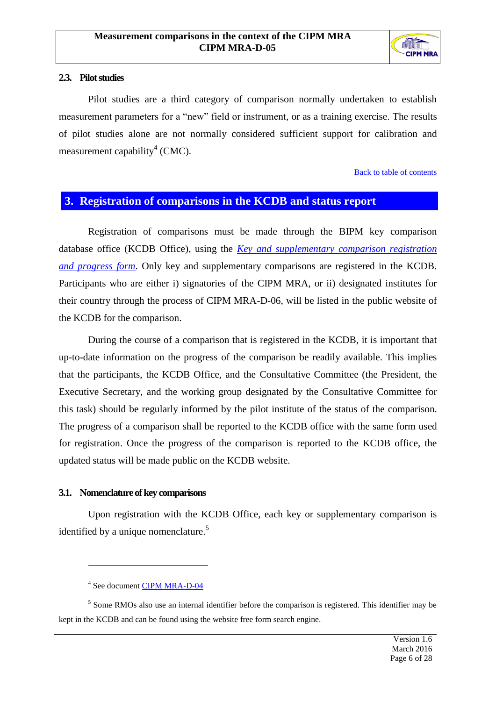

#### <span id="page-6-0"></span>2.3. **Pilot studies**

Pilot studies are a third category of comparison normally undertaken to establish measurement parameters for a "new" field or instrument, or as a training exercise. The results of pilot studies alone are not normally considered sufficient support for calibration and measurement capability<sup>4</sup> (CMC).

[Back to table of contents](#page-1-0)

## <span id="page-6-1"></span>**3. Registration of comparisons in the KCDB and status report**

Registration of comparisons must be made through the BIPM key comparison database office (KCDB Office), using the *[Key and supplementary comparison registration](http://www.bipm.org/utils/common/documents/jcrb/registration_and_progress_form.pdf)  [and progress form](http://www.bipm.org/utils/common/documents/jcrb/registration_and_progress_form.pdf)*. Only key and supplementary comparisons are registered in the KCDB. Participants who are either i) signatories of the CIPM MRA, or ii) designated institutes for their country through the process of CIPM MRA-D-06, will be listed in the public website of the KCDB for the comparison.

During the course of a comparison that is registered in the KCDB, it is important that up-to-date information on the progress of the comparison be readily available. This implies that the participants, the KCDB Office, and the Consultative Committee (the President, the Executive Secretary, and the working group designated by the Consultative Committee for this task) should be regularly informed by the pilot institute of the status of the comparison. The progress of a comparison shall be reported to the KCDB office with the same form used for registration. Once the progress of the comparison is reported to the KCDB office, the updated status will be made public on the KCDB website.

#### <span id="page-6-2"></span>**3.1. Nomenclature of key comparisons**

 $\overline{a}$ 

Upon registration with the KCDB Office, each key or supplementary comparison is identified by a unique nomenclature.<sup>5</sup>

<sup>5</sup> Some RMOs also use an internal identifier before the comparison is registered. This identifier may be kept in the KCDB and can be found using the website free form search engine.

<sup>&</sup>lt;sup>4</sup> See document **CIPM MRA-D-04**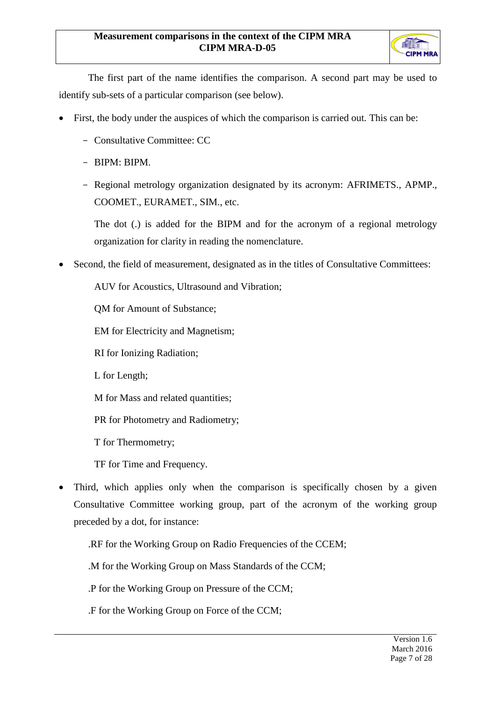

The first part of the name identifies the comparison. A second part may be used to identify sub-sets of a particular comparison (see below).

- First, the body under the auspices of which the comparison is carried out. This can be:
	- Consultative Committee: CC
	- BIPM: BIPM.
	- Regional metrology organization designated by its acronym: AFRIMETS., APMP., COOMET., EURAMET., SIM., etc.

The dot (.) is added for the BIPM and for the acronym of a regional metrology organization for clarity in reading the nomenclature.

Second, the field of measurement, designated as in the titles of Consultative Committees:

AUV for Acoustics, Ultrasound and Vibration;

QM for Amount of Substance;

EM for Electricity and Magnetism;

RI for Ionizing Radiation;

L for Length;

M for Mass and related quantities;

PR for Photometry and Radiometry;

T for Thermometry;

TF for Time and Frequency.

 Third, which applies only when the comparison is specifically chosen by a given Consultative Committee working group, part of the acronym of the working group preceded by a dot, for instance:

.RF for the Working Group on Radio Frequencies of the CCEM;

.M for the Working Group on Mass Standards of the CCM;

.P for the Working Group on Pressure of the CCM;

.F for the Working Group on Force of the CCM;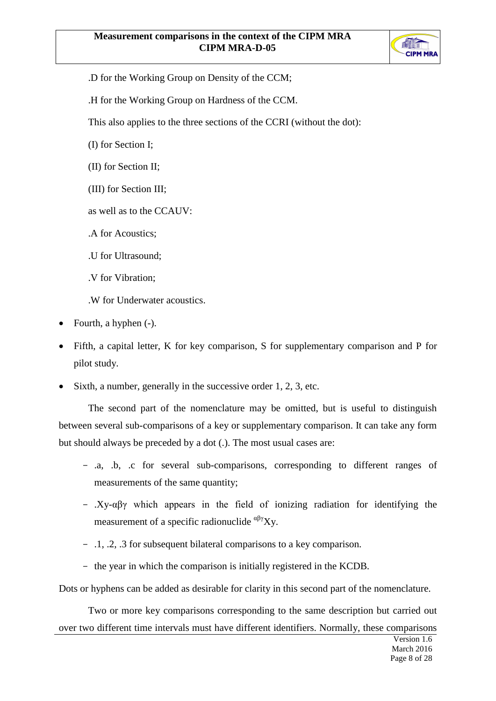

- .D for the Working Group on Density of the CCM;
- .H for the Working Group on Hardness of the CCM.

This also applies to the three sections of the CCRI (without the dot):

(I) for Section I;

(II) for Section II;

(III) for Section III;

as well as to the CCAUV:

.A for Acoustics;

.U for Ultrasound;

.V for Vibration;

.W for Underwater acoustics.

- Fourth, a hyphen (-).
- Fifth, a capital letter, K for key comparison, S for supplementary comparison and P for pilot study.
- Sixth, a number, generally in the successive order 1, 2, 3, etc.

The second part of the nomenclature may be omitted, but is useful to distinguish between several sub-comparisons of a key or supplementary comparison. It can take any form but should always be preceded by a dot (.). The most usual cases are:

- .a, .b, .c for several sub-comparisons, corresponding to different ranges of measurements of the same quantity;
- .Xy-αβγ which appears in the field of ionizing radiation for identifying the measurement of a specific radionuclide  $\alpha\beta\gamma Xy$ .
- .1, .2, .3 for subsequent bilateral comparisons to a key comparison.
- the year in which the comparison is initially registered in the KCDB.

Dots or hyphens can be added as desirable for clarity in this second part of the nomenclature.

Two or more key comparisons corresponding to the same description but carried out over two different time intervals must have different identifiers. Normally, these comparisons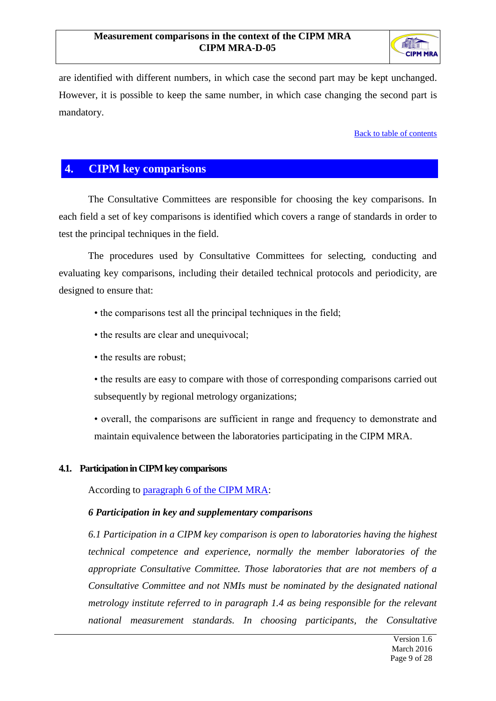

are identified with different numbers, in which case the second part may be kept unchanged. However, it is possible to keep the same number, in which case changing the second part is mandatory.

[Back to table of contents](#page-1-0)

## <span id="page-9-0"></span>**4. CIPM key comparisons**

The Consultative Committees are responsible for choosing the key comparisons. In each field a set of key comparisons is identified which covers a range of standards in order to test the principal techniques in the field.

The procedures used by Consultative Committees for selecting, conducting and evaluating key comparisons, including their detailed technical protocols and periodicity, are designed to ensure that:

- the comparisons test all the principal techniques in the field;
- the results are clear and unequivocal;
- the results are robust;
- the results are easy to compare with those of corresponding comparisons carried out subsequently by regional metrology organizations;
- overall, the comparisons are sufficient in range and frequency to demonstrate and maintain equivalence between the laboratories participating in the CIPM MRA.

#### <span id="page-9-1"></span>**4.1. Participation in CIPM key comparisons**

According to paragraph [6 of the CIPM MRA:](http://www.bipm.org/en/cipm-mra/mra_main_text.html#para6)

#### *6 Participation in key and supplementary comparisons*

*6.1 Participation in a CIPM key comparison is open to laboratories having the highest technical competence and experience, normally the member laboratories of the appropriate Consultative Committee. Those laboratories that are not members of a Consultative Committee and not NMIs must be nominated by the designated national metrology institute referred to in paragraph 1.4 as being responsible for the relevant national measurement standards. In choosing participants, the Consultative*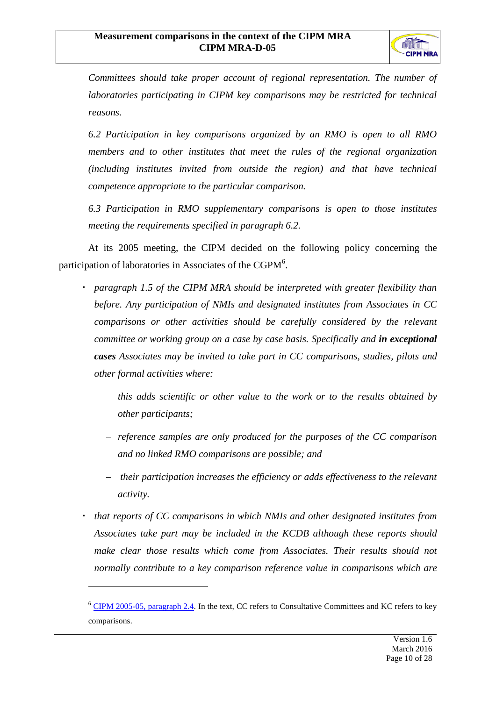

*Committees should take proper account of regional representation. The number of laboratories participating in CIPM key comparisons may be restricted for technical reasons.*

*6.2 Participation in key comparisons organized by an RMO is open to all RMO members and to other institutes that meet the rules of the regional organization (including institutes invited from outside the region) and that have technical competence appropriate to the particular comparison.*

*6.3 Participation in RMO supplementary comparisons is open to those institutes meeting the requirements specified in paragraph 6.2.*

At its 2005 meeting, the CIPM decided on the following policy concerning the participation of laboratories in Associates of the CGPM<sup>6</sup>.

- *paragraph 1.5 of the CIPM MRA should be interpreted with greater flexibility than before. Any participation of NMIs and designated institutes from Associates in CC comparisons or other activities should be carefully considered by the relevant committee or working group on a case by case basis. Specifically and in exceptional cases Associates may be invited to take part in CC comparisons, studies, pilots and other formal activities where:*
	- *this adds scientific or other value to the work or to the results obtained by other participants;*
	- *reference samples are only produced for the purposes of the CC comparison and no linked RMO comparisons are possible; and*
	- *their participation increases the efficiency or adds effectiveness to the relevant activity.*
- *that reports of CC comparisons in which NMIs and other designated institutes from Associates take part may be included in the KCDB although these reports should make clear those results which come from Associates. Their results should not normally contribute to a key comparison reference value in comparisons which are*

 $\overline{a}$ 

<sup>&</sup>lt;sup>6</sup> [CIPM 2005-05, paragraph](http://www.bipm.org/cc/CIPM/Allowed/94/SERVICESTOASSCIPM05.pdf) 2.4. In the text, CC refers to Consultative Committees and KC refers to key comparisons.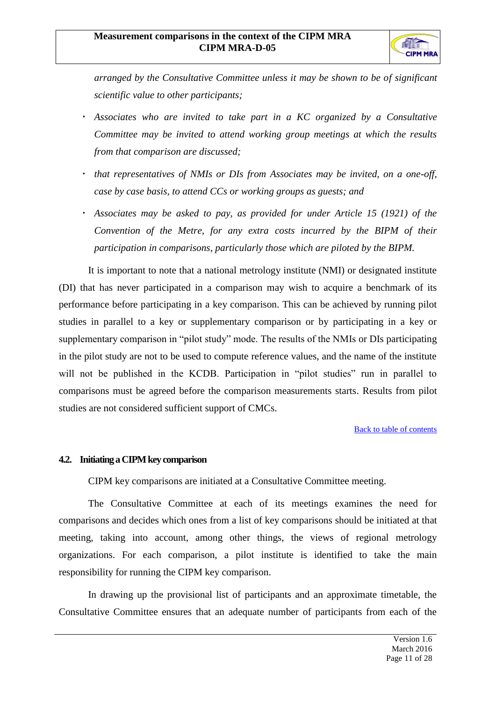

*arranged by the Consultative Committee unless it may be shown to be of significant scientific value to other participants;*

- *Associates who are invited to take part in a KC organized by a Consultative Committee may be invited to attend working group meetings at which the results from that comparison are discussed;*
- *that representatives of NMIs or DIs from Associates may be invited, on a one-off, case by case basis, to attend CCs or working groups as guests; and*
- *Associates may be asked to pay, as provided for under Article 15 (1921) of the Convention of the Metre, for any extra costs incurred by the BIPM of their participation in comparisons, particularly those which are piloted by the BIPM.*

It is important to note that a national metrology institute (NMI) or designated institute (DI) that has never participated in a comparison may wish to acquire a benchmark of its performance before participating in a key comparison. This can be achieved by running pilot studies in parallel to a key or supplementary comparison or by participating in a key or supplementary comparison in "pilot study" mode. The results of the NMIs or DIs participating in the pilot study are not to be used to compute reference values, and the name of the institute will not be published in the KCDB. Participation in "pilot studies" run in parallel to comparisons must be agreed before the comparison measurements starts. Results from pilot studies are not considered sufficient support of CMCs.

[Back to table of contents](#page-1-0)

#### <span id="page-11-0"></span>**4.2. Initiating a CIPM key comparison**

CIPM key comparisons are initiated at a Consultative Committee meeting.

The Consultative Committee at each of its meetings examines the need for comparisons and decides which ones from a list of key comparisons should be initiated at that meeting, taking into account, among other things, the views of regional metrology organizations. For each comparison, a pilot institute is identified to take the main responsibility for running the CIPM key comparison.

In drawing up the provisional list of participants and an approximate timetable, the Consultative Committee ensures that an adequate number of participants from each of the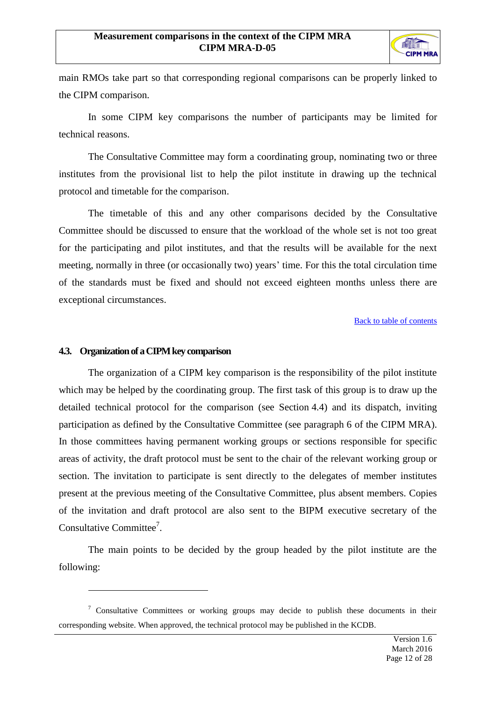

main RMOs take part so that corresponding regional comparisons can be properly linked to the CIPM comparison.

In some CIPM key comparisons the number of participants may be limited for technical reasons.

The Consultative Committee may form a coordinating group, nominating two or three institutes from the provisional list to help the pilot institute in drawing up the technical protocol and timetable for the comparison.

The timetable of this and any other comparisons decided by the Consultative Committee should be discussed to ensure that the workload of the whole set is not too great for the participating and pilot institutes, and that the results will be available for the next meeting, normally in three (or occasionally two) years' time. For this the total circulation time of the standards must be fixed and should not exceed eighteen months unless there are exceptional circumstances.

[Back to table of contents](#page-1-0)

#### <span id="page-12-0"></span>**4.3. Organization of a CIPM key comparison**

 $\overline{a}$ 

The organization of a CIPM key comparison is the responsibility of the pilot institute which may be helped by the coordinating group. The first task of this group is to draw up the detailed technical protocol for the comparison (see Section 4.4) and its dispatch, inviting participation as defined by the Consultative Committee (see paragraph 6 of the CIPM MRA). In those committees having permanent working groups or sections responsible for specific areas of activity, the draft protocol must be sent to the chair of the relevant working group or section. The invitation to participate is sent directly to the delegates of member institutes present at the previous meeting of the Consultative Committee, plus absent members. Copies of the invitation and draft protocol are also sent to the BIPM executive secretary of the Consultative Committee<sup>7</sup>.

The main points to be decided by the group headed by the pilot institute are the following:

 $\frac{7}{1}$  Consultative Committees or working groups may decide to publish these documents in their corresponding website. When approved, the technical protocol may be published in the KCDB.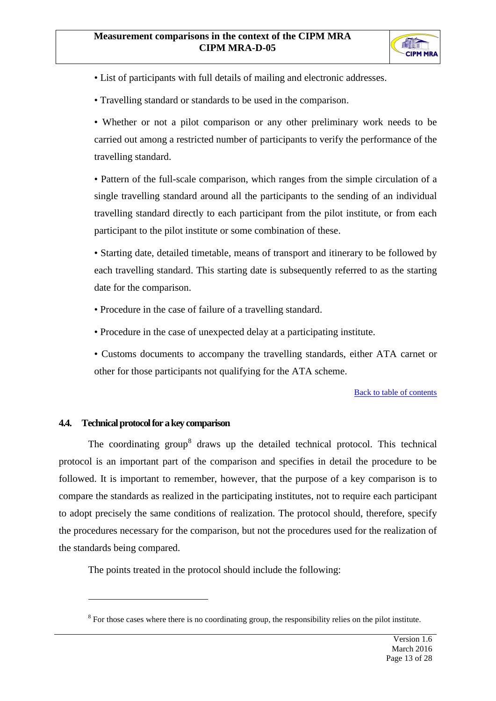

- List of participants with full details of mailing and electronic addresses.
- Travelling standard or standards to be used in the comparison.

• Whether or not a pilot comparison or any other preliminary work needs to be carried out among a restricted number of participants to verify the performance of the travelling standard.

• Pattern of the full-scale comparison, which ranges from the simple circulation of a single travelling standard around all the participants to the sending of an individual travelling standard directly to each participant from the pilot institute, or from each participant to the pilot institute or some combination of these.

• Starting date, detailed timetable, means of transport and itinerary to be followed by each travelling standard. This starting date is subsequently referred to as the starting date for the comparison.

- Procedure in the case of failure of a travelling standard.
- Procedure in the case of unexpected delay at a participating institute.
- Customs documents to accompany the travelling standards, either ATA carnet or other for those participants not qualifying for the ATA scheme.

#### [Back to table of contents](#page-1-0)

#### <span id="page-13-0"></span>**4.4. Technical protocol for a key comparison**

 $\overline{a}$ 

The coordinating group<sup>8</sup> draws up the detailed technical protocol. This technical protocol is an important part of the comparison and specifies in detail the procedure to be followed. It is important to remember, however, that the purpose of a key comparison is to compare the standards as realized in the participating institutes, not to require each participant to adopt precisely the same conditions of realization. The protocol should, therefore, specify the procedures necessary for the comparison, but not the procedures used for the realization of the standards being compared.

The points treated in the protocol should include the following:

 $8$  For those cases where there is no coordinating group, the responsibility relies on the pilot institute.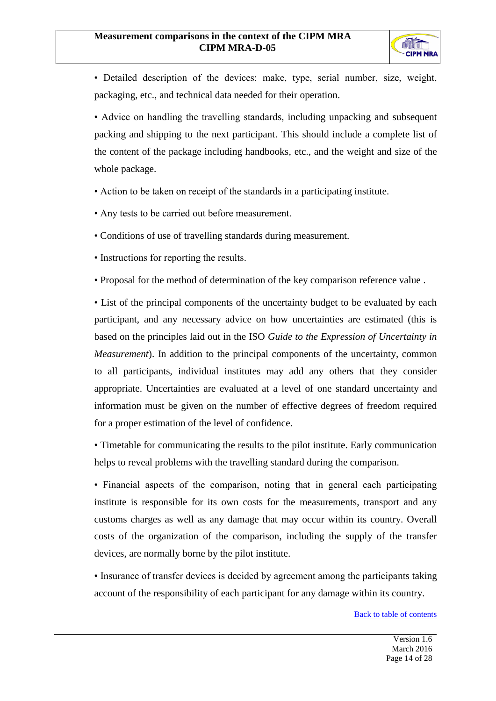

• Detailed description of the devices: make, type, serial number, size, weight, packaging, etc., and technical data needed for their operation.

• Advice on handling the travelling standards, including unpacking and subsequent packing and shipping to the next participant. This should include a complete list of the content of the package including handbooks, etc., and the weight and size of the whole package.

- Action to be taken on receipt of the standards in a participating institute.
- Any tests to be carried out before measurement.
- Conditions of use of travelling standards during measurement.
- Instructions for reporting the results.
- Proposal for the method of determination of the key comparison reference value .

• List of the principal components of the uncertainty budget to be evaluated by each participant, and any necessary advice on how uncertainties are estimated (this is based on the principles laid out in the ISO *Guide to the Expression of Uncertainty in Measurement*). In addition to the principal components of the uncertainty, common to all participants, individual institutes may add any others that they consider appropriate. Uncertainties are evaluated at a level of one standard uncertainty and information must be given on the number of effective degrees of freedom required for a proper estimation of the level of confidence.

• Timetable for communicating the results to the pilot institute. Early communication helps to reveal problems with the travelling standard during the comparison.

• Financial aspects of the comparison, noting that in general each participating institute is responsible for its own costs for the measurements, transport and any customs charges as well as any damage that may occur within its country. Overall costs of the organization of the comparison, including the supply of the transfer devices, are normally borne by the pilot institute.

• Insurance of transfer devices is decided by agreement among the participants taking account of the responsibility of each participant for any damage within its country.

[Back to table of contents](#page-1-0)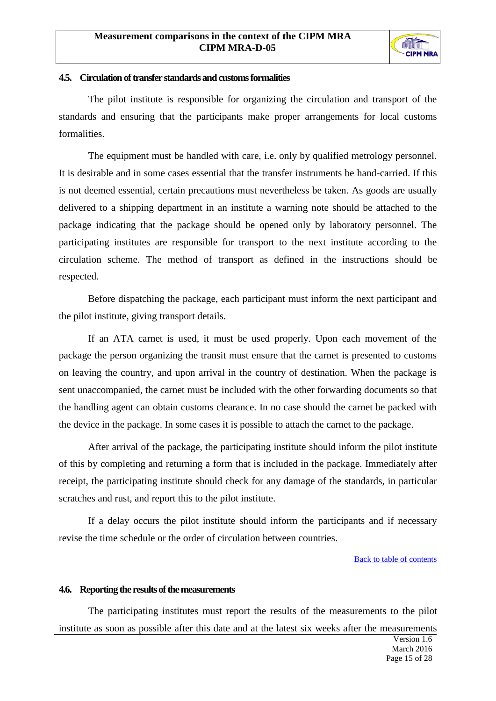

#### <span id="page-15-0"></span>**4.5. Circulation of transfer standards and customs formalities**

The pilot institute is responsible for organizing the circulation and transport of the standards and ensuring that the participants make proper arrangements for local customs formalities.

The equipment must be handled with care, i.e. only by qualified metrology personnel. It is desirable and in some cases essential that the transfer instruments be hand-carried. If this is not deemed essential, certain precautions must nevertheless be taken. As goods are usually delivered to a shipping department in an institute a warning note should be attached to the package indicating that the package should be opened only by laboratory personnel. The participating institutes are responsible for transport to the next institute according to the circulation scheme. The method of transport as defined in the instructions should be respected.

Before dispatching the package, each participant must inform the next participant and the pilot institute, giving transport details.

If an ATA carnet is used, it must be used properly. Upon each movement of the package the person organizing the transit must ensure that the carnet is presented to customs on leaving the country, and upon arrival in the country of destination. When the package is sent unaccompanied, the carnet must be included with the other forwarding documents so that the handling agent can obtain customs clearance. In no case should the carnet be packed with the device in the package. In some cases it is possible to attach the carnet to the package.

After arrival of the package, the participating institute should inform the pilot institute of this by completing and returning a form that is included in the package. Immediately after receipt, the participating institute should check for any damage of the standards, in particular scratches and rust, and report this to the pilot institute.

If a delay occurs the pilot institute should inform the participants and if necessary revise the time schedule or the order of circulation between countries.

[Back to table of contents](#page-1-0)

#### <span id="page-15-1"></span>**4.6. Reporting the results of themeasurements**

The participating institutes must report the results of the measurements to the pilot institute as soon as possible after this date and at the latest six weeks after the measurements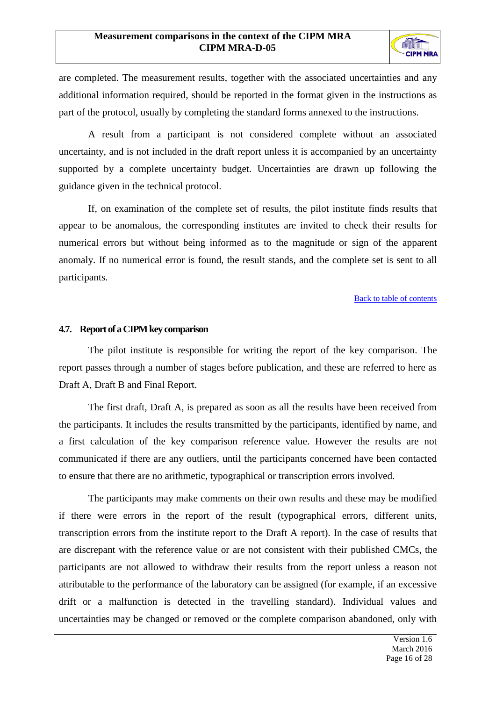

are completed. The measurement results, together with the associated uncertainties and any additional information required, should be reported in the format given in the instructions as part of the protocol, usually by completing the standard forms annexed to the instructions.

A result from a participant is not considered complete without an associated uncertainty, and is not included in the draft report unless it is accompanied by an uncertainty supported by a complete uncertainty budget. Uncertainties are drawn up following the guidance given in the technical protocol.

If, on examination of the complete set of results, the pilot institute finds results that appear to be anomalous, the corresponding institutes are invited to check their results for numerical errors but without being informed as to the magnitude or sign of the apparent anomaly. If no numerical error is found, the result stands, and the complete set is sent to all participants.

#### [Back to table of contents](#page-1-0)

#### <span id="page-16-0"></span>**4.7. Report of a CIPM key comparison**

The pilot institute is responsible for writing the report of the key comparison. The report passes through a number of stages before publication, and these are referred to here as Draft A, Draft B and Final Report.

The first draft, Draft A, is prepared as soon as all the results have been received from the participants. It includes the results transmitted by the participants, identified by name, and a first calculation of the key comparison reference value. However the results are not communicated if there are any outliers, until the participants concerned have been contacted to ensure that there are no arithmetic, typographical or transcription errors involved.

The participants may make comments on their own results and these may be modified if there were errors in the report of the result (typographical errors, different units, transcription errors from the institute report to the Draft A report). In the case of results that are discrepant with the reference value or are not consistent with their published CMCs, the participants are not allowed to withdraw their results from the report unless a reason not attributable to the performance of the laboratory can be assigned (for example, if an excessive drift or a malfunction is detected in the travelling standard). Individual values and uncertainties may be changed or removed or the complete comparison abandoned, only with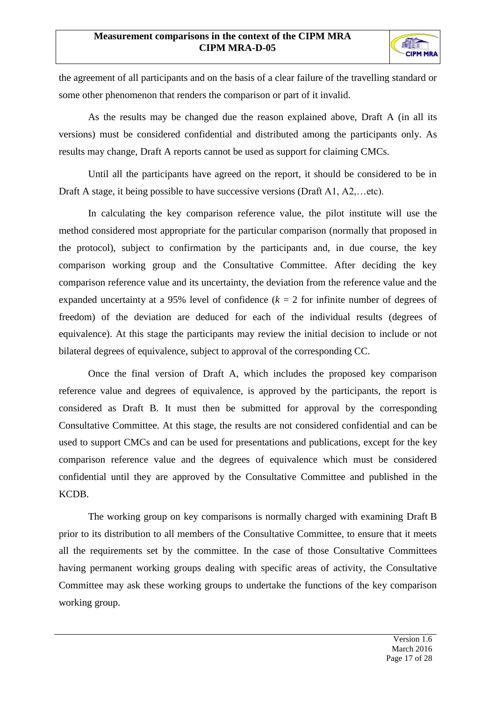

the agreement of all participants and on the basis of a clear failure of the travelling standard or some other phenomenon that renders the comparison or part of it invalid.

As the results may be changed due the reason explained above, Draft A (in all its versions) must be considered confidential and distributed among the participants only. As results may change, Draft A reports cannot be used as support for claiming CMCs.

Until all the participants have agreed on the report, it should be considered to be in Draft A stage, it being possible to have successive versions (Draft A1, A2,...etc).

In calculating the key comparison reference value, the pilot institute will use the method considered most appropriate for the particular comparison (normally that proposed in the protocol), subject to confirmation by the participants and, in due course, the key comparison working group and the Consultative Committee. After deciding the key comparison reference value and its uncertainty, the deviation from the reference value and the expanded uncertainty at a 95% level of confidence  $(k = 2$  for infinite number of degrees of freedom) of the deviation are deduced for each of the individual results (degrees of equivalence). At this stage the participants may review the initial decision to include or not bilateral degrees of equivalence, subject to approval of the corresponding CC.

Once the final version of Draft A, which includes the proposed key comparison reference value and degrees of equivalence, is approved by the participants, the report is considered as Draft B. It must then be submitted for approval by the corresponding Consultative Committee. At this stage, the results are not considered confidential and can be used to support CMCs and can be used for presentations and publications, except for the key comparison reference value and the degrees of equivalence which must be considered confidential until they are approved by the Consultative Committee and published in the KCDB.

The working group on key comparisons is normally charged with examining Draft B prior to its distribution to all members of the Consultative Committee, to ensure that it meets all the requirements set by the committee. In the case of those Consultative Committees having permanent working groups dealing with specific areas of activity, the Consultative Committee may ask these working groups to undertake the functions of the key comparison working group.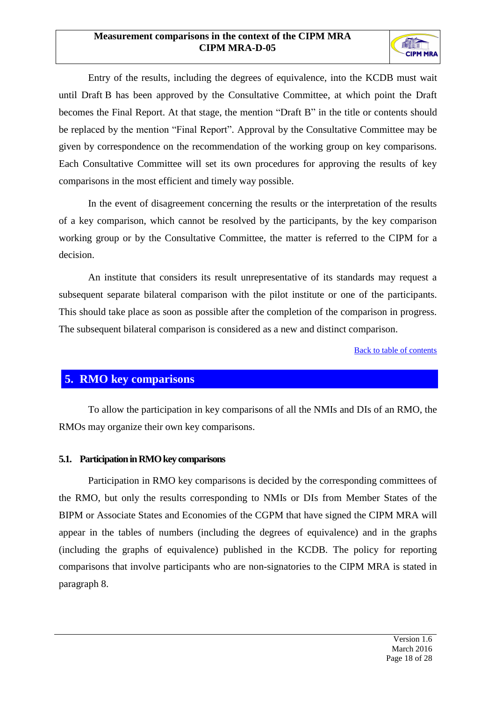

Entry of the results, including the degrees of equivalence, into the KCDB must wait until Draft B has been approved by the Consultative Committee, at which point the Draft becomes the Final Report. At that stage, the mention "Draft B" in the title or contents should be replaced by the mention "Final Report". Approval by the Consultative Committee may be given by correspondence on the recommendation of the working group on key comparisons. Each Consultative Committee will set its own procedures for approving the results of key comparisons in the most efficient and timely way possible.

In the event of disagreement concerning the results or the interpretation of the results of a key comparison, which cannot be resolved by the participants, by the key comparison working group or by the Consultative Committee, the matter is referred to the CIPM for a decision.

An institute that considers its result unrepresentative of its standards may request a subsequent separate bilateral comparison with the pilot institute or one of the participants. This should take place as soon as possible after the completion of the comparison in progress. The subsequent bilateral comparison is considered as a new and distinct comparison.

[Back to table of contents](#page-1-0)

## <span id="page-18-0"></span>**5. RMO key comparisons**

To allow the participation in key comparisons of all the NMIs and DIs of an RMO, the RMOs may organize their own key comparisons.

#### <span id="page-18-1"></span>**5.1. Participation in RMO key comparisons**

Participation in RMO key comparisons is decided by the corresponding committees of the RMO, but only the results corresponding to NMIs or DIs from Member States of the BIPM or Associate States and Economies of the CGPM that have signed the CIPM MRA will appear in the tables of numbers (including the degrees of equivalence) and in the graphs (including the graphs of equivalence) published in the KCDB. The policy for reporting comparisons that involve participants who are non-signatories to the CIPM MRA is stated in paragraph 8.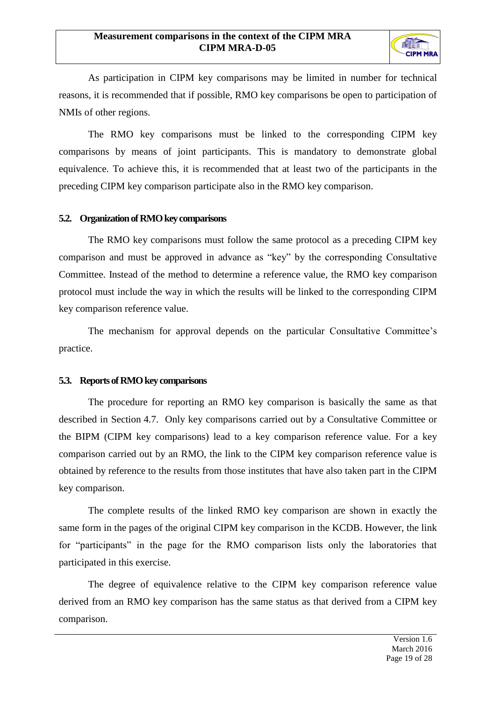

As participation in CIPM key comparisons may be limited in number for technical reasons, it is recommended that if possible, RMO key comparisons be open to participation of NMIs of other regions.

The RMO key comparisons must be linked to the corresponding CIPM key comparisons by means of joint participants. This is mandatory to demonstrate global equivalence. To achieve this, it is recommended that at least two of the participants in the preceding CIPM key comparison participate also in the RMO key comparison.

#### <span id="page-19-0"></span>**5.2. Organization of RMO key comparisons**

The RMO key comparisons must follow the same protocol as a preceding CIPM key comparison and must be approved in advance as "key" by the corresponding Consultative Committee. Instead of the method to determine a reference value, the RMO key comparison protocol must include the way in which the results will be linked to the corresponding CIPM key comparison reference value.

The mechanism for approval depends on the particular Consultative Committee's practice.

#### <span id="page-19-1"></span>**5.3. Reports of RMO key comparisons**

The procedure for reporting an RMO key comparison is basically the same as that described in Section [4.7.](#page-16-0) Only key comparisons carried out by a Consultative Committee or the BIPM (CIPM key comparisons) lead to a key comparison reference value. For a key comparison carried out by an RMO, the link to the CIPM key comparison reference value is obtained by reference to the results from those institutes that have also taken part in the CIPM key comparison.

The complete results of the linked RMO key comparison are shown in exactly the same form in the pages of the original CIPM key comparison in the KCDB. However, the link for "participants" in the page for the RMO comparison lists only the laboratories that participated in this exercise.

The degree of equivalence relative to the CIPM key comparison reference value derived from an RMO key comparison has the same status as that derived from a CIPM key comparison.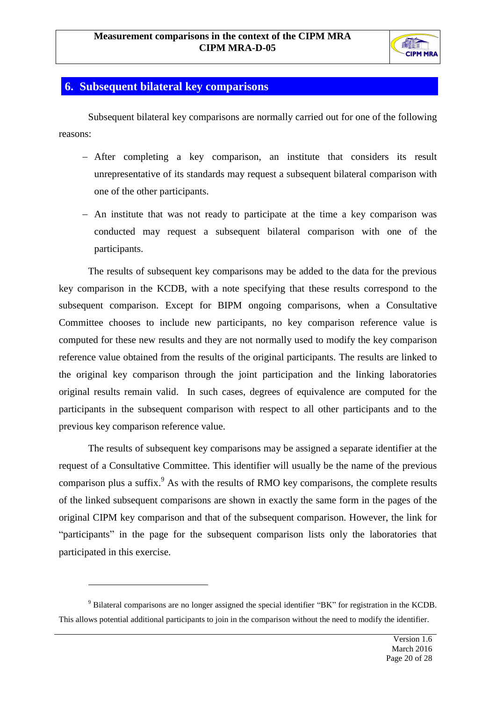

## <span id="page-20-0"></span>**6. Subsequent bilateral key comparisons**

Subsequent bilateral key comparisons are normally carried out for one of the following reasons:

- After completing a key comparison, an institute that considers its result unrepresentative of its standards may request a subsequent bilateral comparison with one of the other participants.
- An institute that was not ready to participate at the time a key comparison was conducted may request a subsequent bilateral comparison with one of the participants.

The results of subsequent key comparisons may be added to the data for the previous key comparison in the KCDB, with a note specifying that these results correspond to the subsequent comparison. Except for BIPM ongoing comparisons, when a Consultative Committee chooses to include new participants, no key comparison reference value is computed for these new results and they are not normally used to modify the key comparison reference value obtained from the results of the original participants. The results are linked to the original key comparison through the joint participation and the linking laboratories original results remain valid. In such cases, degrees of equivalence are computed for the participants in the subsequent comparison with respect to all other participants and to the previous key comparison reference value.

The results of subsequent key comparisons may be assigned a separate identifier at the request of a Consultative Committee. This identifier will usually be the name of the previous comparison plus a suffix.<sup>9</sup> As with the results of RMO key comparisons, the complete results of the linked subsequent comparisons are shown in exactly the same form in the pages of the original CIPM key comparison and that of the subsequent comparison. However, the link for "participants" in the page for the subsequent comparison lists only the laboratories that participated in this exercise.

 $\overline{a}$ 

<sup>&</sup>lt;sup>9</sup> Bilateral comparisons are no longer assigned the special identifier "BK" for registration in the KCDB. This allows potential additional participants to join in the comparison without the need to modify the identifier.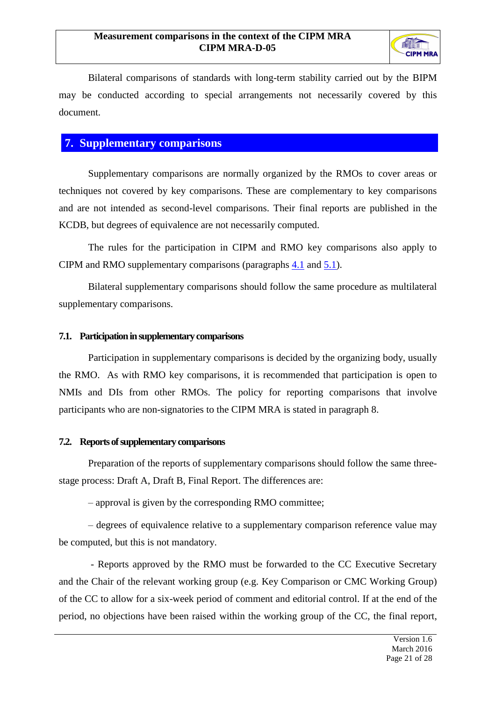

Bilateral comparisons of standards with long-term stability carried out by the BIPM may be conducted according to special arrangements not necessarily covered by this document.

## <span id="page-21-0"></span>**7. Supplementary comparisons**

Supplementary comparisons are normally organized by the RMOs to cover areas or techniques not covered by key comparisons. These are complementary to key comparisons and are not intended as second-level comparisons. Their final reports are published in the KCDB, but degrees of equivalence are not necessarily computed.

The rules for the participation in CIPM and RMO key comparisons also apply to CIPM and RMO supplementary comparisons (paragraphs [4.1](#page-9-1) and [5.1\)](#page-18-1).

Bilateral supplementary comparisons should follow the same procedure as multilateral supplementary comparisons.

#### <span id="page-21-1"></span>**7.1. Participation in supplementary comparisons**

Participation in supplementary comparisons is decided by the organizing body, usually the RMO. As with RMO key comparisons, it is recommended that participation is open to NMIs and DIs from other RMOs. The policy for reporting comparisons that involve participants who are non-signatories to the CIPM MRA is stated in paragraph 8.

#### <span id="page-21-2"></span>**7.2. Reports of supplementary comparisons**

Preparation of the reports of supplementary comparisons should follow the same threestage process: Draft A, Draft B, Final Report. The differences are:

– approval is given by the corresponding RMO committee;

– degrees of equivalence relative to a supplementary comparison reference value may be computed, but this is not mandatory.

- Reports approved by the RMO must be forwarded to the CC Executive Secretary and the Chair of the relevant working group (e.g. Key Comparison or CMC Working Group) of the CC to allow for a six-week period of comment and editorial control. If at the end of the period, no objections have been raised within the working group of the CC, the final report,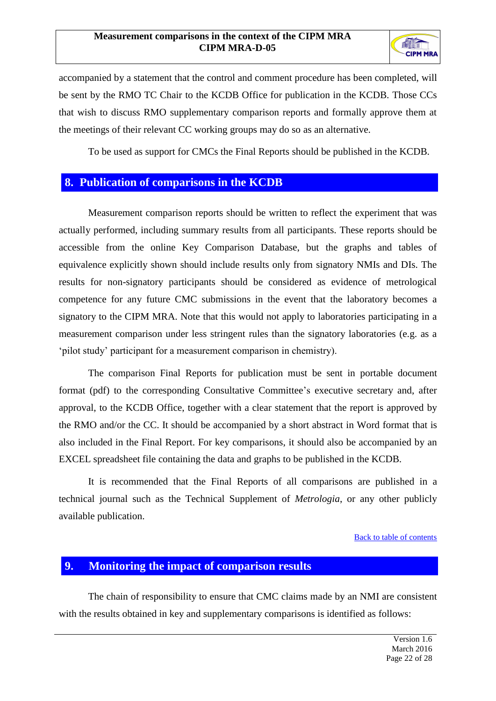

accompanied by a statement that the control and comment procedure has been completed, will be sent by the RMO TC Chair to the KCDB Office for publication in the KCDB. Those CCs that wish to discuss RMO supplementary comparison reports and formally approve them at the meetings of their relevant CC working groups may do so as an alternative.

To be used as support for CMCs the Final Reports should be published in the KCDB.

## <span id="page-22-0"></span>**8. Publication of comparisons in the KCDB**

Measurement comparison reports should be written to reflect the experiment that was actually performed, including summary results from all participants. These reports should be accessible from the online Key Comparison Database, but the graphs and tables of equivalence explicitly shown should include results only from signatory NMIs and DIs. The results for non-signatory participants should be considered as evidence of metrological competence for any future CMC submissions in the event that the laboratory becomes a signatory to the CIPM MRA. Note that this would not apply to laboratories participating in a measurement comparison under less stringent rules than the signatory laboratories (e.g. as a 'pilot study' participant for a measurement comparison in chemistry).

The comparison Final Reports for publication must be sent in portable document format (pdf) to the corresponding Consultative Committee's executive secretary and, after approval, to the KCDB Office, together with a clear statement that the report is approved by the RMO and/or the CC. It should be accompanied by a short abstract in Word format that is also included in the Final Report. For key comparisons, it should also be accompanied by an EXCEL spreadsheet file containing the data and graphs to be published in the KCDB.

It is recommended that the Final Reports of all comparisons are published in a technical journal such as the Technical Supplement of *Metrologia*, or any other publicly available publication.

#### [Back to table of contents](#page-1-0)

## <span id="page-22-1"></span>**9. Monitoring the impact of comparison results**

The chain of responsibility to ensure that CMC claims made by an NMI are consistent with the results obtained in key and supplementary comparisons is identified as follows: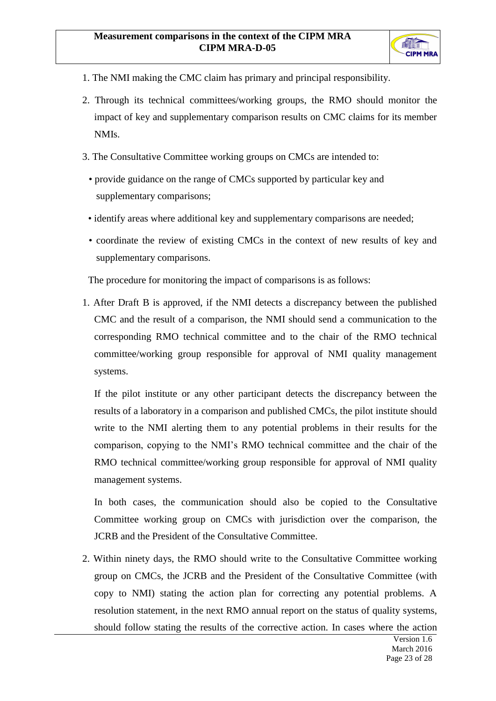

- 1. The NMI making the CMC claim has primary and principal responsibility.
- 2. Through its technical committees/working groups, the RMO should monitor the impact of key and supplementary comparison results on CMC claims for its member NMIs.
- 3. The Consultative Committee working groups on CMCs are intended to:
	- provide guidance on the range of CMCs supported by particular key and supplementary comparisons;
- identify areas where additional key and supplementary comparisons are needed;
- coordinate the review of existing CMCs in the context of new results of key and supplementary comparisons.

The procedure for monitoring the impact of comparisons is as follows:

1. After Draft B is approved, if the NMI detects a discrepancy between the published CMC and the result of a comparison, the NMI should send a communication to the corresponding RMO technical committee and to the chair of the RMO technical committee/working group responsible for approval of NMI quality management systems.

If the pilot institute or any other participant detects the discrepancy between the results of a laboratory in a comparison and published CMCs, the pilot institute should write to the NMI alerting them to any potential problems in their results for the comparison, copying to the NMI's RMO technical committee and the chair of the RMO technical committee/working group responsible for approval of NMI quality management systems.

In both cases, the communication should also be copied to the Consultative Committee working group on CMCs with jurisdiction over the comparison, the JCRB and the President of the Consultative Committee.

2. Within ninety days, the RMO should write to the Consultative Committee working group on CMCs, the JCRB and the President of the Consultative Committee (with copy to NMI) stating the action plan for correcting any potential problems. A resolution statement, in the next RMO annual report on the status of quality systems, should follow stating the results of the corrective action. In cases where the action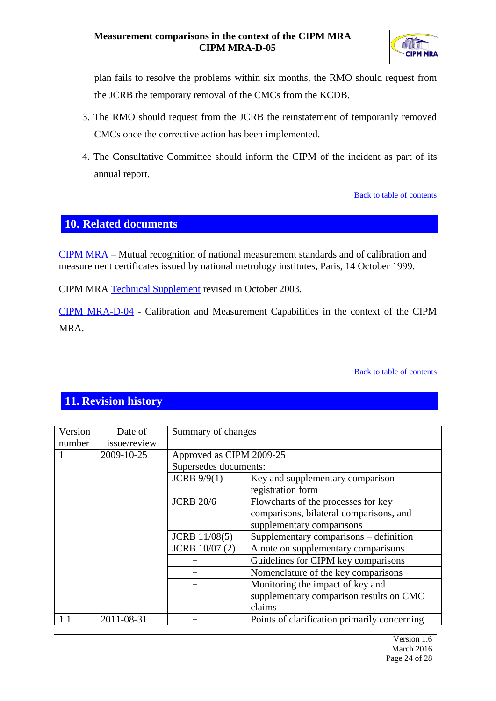

plan fails to resolve the problems within six months, the RMO should request from the JCRB the temporary removal of the CMCs from the KCDB.

- 3. The RMO should request from the JCRB the reinstatement of temporarily removed CMCs once the corrective action has been implemented.
- 4. The Consultative Committee should inform the CIPM of the incident as part of its annual report.

[Back to table of contents](#page-1-0)

## <span id="page-24-0"></span>**10. Related documents**

[CIPM MRA](http://www.bipm.org/utils/en/pdf/mra_2003.pdf) – Mutual recognition of national measurement standards and of calibration and measurement certificates issued by national metrology institutes, Paris, 14 October 1999.

CIPM MRA [Technical Supplement](http://www.bipm.org/utils/en/pdf/mra_2003.pdf) revised in October 2003.

[CIPM MRA-D-04](http://www.bipm.org/utils/common/CIPM_MRA/CIPM_MRA-D-04.pdf) - Calibration and Measurement Capabilities in the context of the CIPM MRA.

[Back to table of contents](#page-1-0)

## <span id="page-24-1"></span>**11. Revision history**

| Version<br>Date of |              | Summary of changes       |                                              |  |
|--------------------|--------------|--------------------------|----------------------------------------------|--|
| number             | issue/review |                          |                                              |  |
| 2009-10-25         |              | Approved as CIPM 2009-25 |                                              |  |
|                    |              | Supersedes documents:    |                                              |  |
|                    |              | <b>JCRB</b> 9/9(1)       | Key and supplementary comparison             |  |
|                    |              |                          | registration form                            |  |
|                    |              | <b>JCRB 20/6</b>         | Flowcharts of the processes for key          |  |
|                    |              |                          | comparisons, bilateral comparisons, and      |  |
|                    |              |                          | supplementary comparisons                    |  |
|                    |              | <b>JCRB</b> 11/08(5)     | Supplementary comparisons – definition       |  |
|                    |              | JCRB 10/07 (2)           | A note on supplementary comparisons          |  |
|                    |              |                          | Guidelines for CIPM key comparisons          |  |
|                    |              |                          | Nomenclature of the key comparisons          |  |
|                    |              |                          | Monitoring the impact of key and             |  |
|                    |              |                          | supplementary comparison results on CMC      |  |
|                    |              |                          | claims                                       |  |
| 1.1                | 2011-08-31   |                          | Points of clarification primarily concerning |  |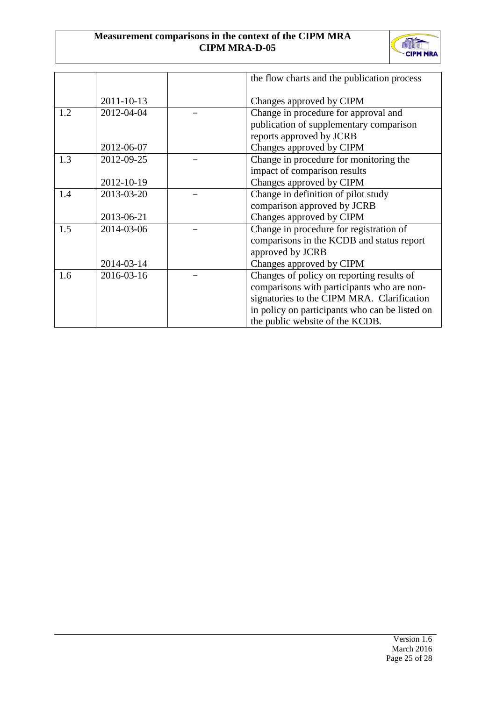## **Measurement comparisons in the context of the CIPM MRA CIPM MRA-D-05**



|     |            | the flow charts and the publication process    |
|-----|------------|------------------------------------------------|
|     | 2011-10-13 | Changes approved by CIPM                       |
| 1.2 | 2012-04-04 | Change in procedure for approval and           |
|     |            | publication of supplementary comparison        |
|     |            | reports approved by JCRB                       |
|     | 2012-06-07 | Changes approved by CIPM                       |
| 1.3 | 2012-09-25 | Change in procedure for monitoring the         |
|     |            | impact of comparison results                   |
|     | 2012-10-19 | Changes approved by CIPM                       |
| 1.4 | 2013-03-20 | Change in definition of pilot study            |
|     |            | comparison approved by JCRB                    |
|     | 2013-06-21 | Changes approved by CIPM                       |
| 1.5 | 2014-03-06 | Change in procedure for registration of        |
|     |            | comparisons in the KCDB and status report      |
|     |            | approved by JCRB                               |
|     | 2014-03-14 | Changes approved by CIPM                       |
| 1.6 | 2016-03-16 | Changes of policy on reporting results of      |
|     |            | comparisons with participants who are non-     |
|     |            | signatories to the CIPM MRA. Clarification     |
|     |            | in policy on participants who can be listed on |
|     |            | the public website of the KCDB.                |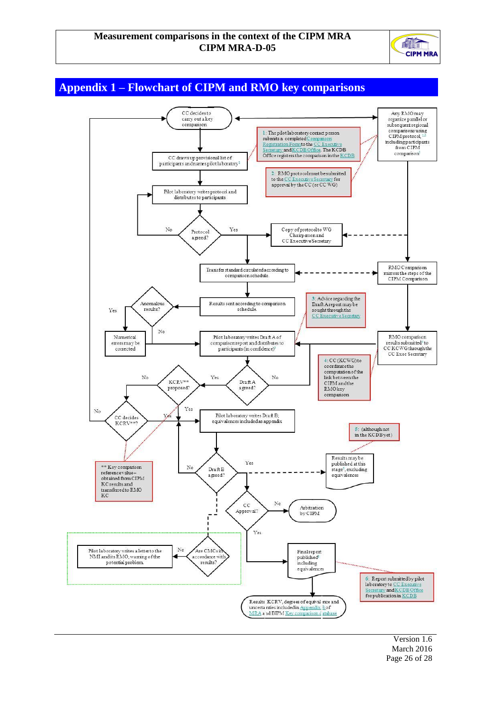#### **Measurement comparisons in the context of the CIPM MRA CIPM MRA-D-05**



## <span id="page-26-0"></span>**Appendix 1 – Flowchart of CIPM and RMO key comparisons**



Version 1.6 March 2016 Page 26 of 28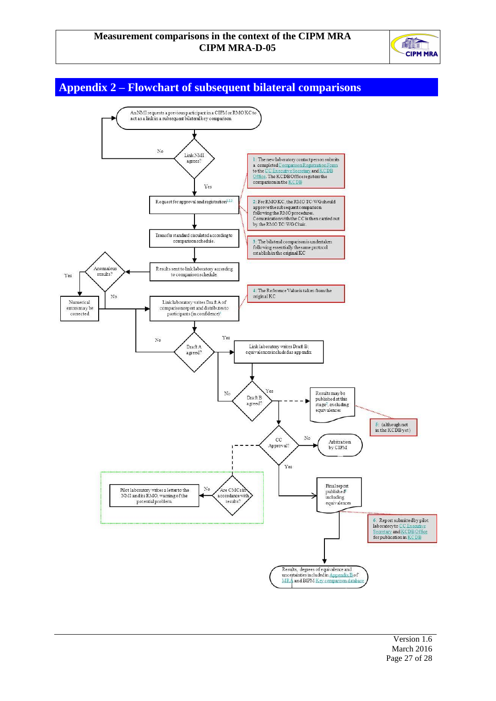

<span id="page-27-0"></span>